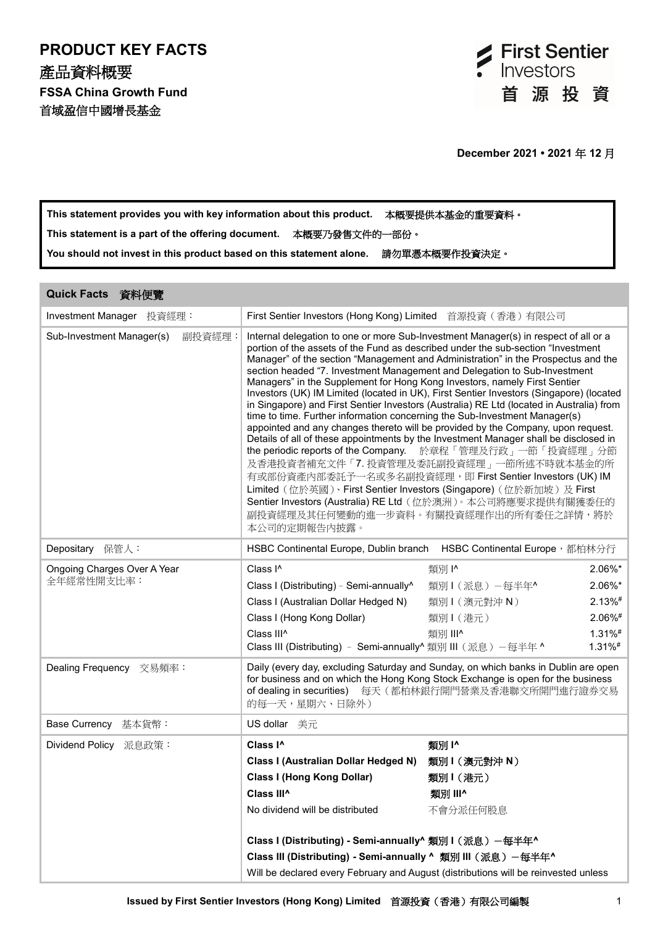

**This statement provides you with key information about this product.** 本概要提供本基金的重要資料。 **This statement is a part of the offering document.** 本概要乃發售文件的一部份。 **You should not invest in this product based on this statement alone.** 請勿單憑本概要作投資決定。

| Quick Facts 資料便覽                          |                                                                                                                                                                                                                                                                                                                                                                                                                                                                                                                                                                                                                                                                                                                                                                                                                                                                                                                                                                                                                                                                                                                                                                                                                                           |                                                            |                                                                          |
|-------------------------------------------|-------------------------------------------------------------------------------------------------------------------------------------------------------------------------------------------------------------------------------------------------------------------------------------------------------------------------------------------------------------------------------------------------------------------------------------------------------------------------------------------------------------------------------------------------------------------------------------------------------------------------------------------------------------------------------------------------------------------------------------------------------------------------------------------------------------------------------------------------------------------------------------------------------------------------------------------------------------------------------------------------------------------------------------------------------------------------------------------------------------------------------------------------------------------------------------------------------------------------------------------|------------------------------------------------------------|--------------------------------------------------------------------------|
| Investment Manager 投資經理:                  | First Sentier Investors (Hong Kong) Limited                                                                                                                                                                                                                                                                                                                                                                                                                                                                                                                                                                                                                                                                                                                                                                                                                                                                                                                                                                                                                                                                                                                                                                                               | 首源投資 (香港) 有限公司                                             |                                                                          |
| Sub-Investment Manager(s)<br>副投資經理:       | Internal delegation to one or more Sub-Investment Manager(s) in respect of all or a<br>portion of the assets of the Fund as described under the sub-section "Investment<br>Manager" of the section "Management and Administration" in the Prospectus and the<br>section headed "7. Investment Management and Delegation to Sub-Investment<br>Managers" in the Supplement for Hong Kong Investors, namely First Sentier<br>Investors (UK) IM Limited (located in UK), First Sentier Investors (Singapore) (located<br>in Singapore) and First Sentier Investors (Australia) RE Ltd (located in Australia) from<br>time to time. Further information concerning the Sub-Investment Manager(s)<br>appointed and any changes thereto will be provided by the Company, upon request.<br>Details of all of these appointments by the Investment Manager shall be disclosed in<br>the periodic reports of the Company. 於章程「管理及行政」一節「投資經理」分節<br>及香港投資者補充文件「7. 投資管理及委託副投資經理」一節所述不時就本基金的所<br>有或部份資產內部委託予一名或多名副投資經理, 即 First Sentier Investors (UK) IM<br>Limited (位於英國)、First Sentier Investors (Singapore) (位於新加坡) 及 First<br>Sentier Investors (Australia) RE Ltd (位於澳洲)。本公司將應要求提供有關獲委任的<br>副投資經理及其任何變動的進一步資料。有關投資經理作出的所有委任之詳情,將於<br>本公司的定期報告內披露。 |                                                            |                                                                          |
| Depositary 保管人:                           | HSBC Continental Europe, Dublin branch HSBC Continental Europe, 都柏林分行                                                                                                                                                                                                                                                                                                                                                                                                                                                                                                                                                                                                                                                                                                                                                                                                                                                                                                                                                                                                                                                                                                                                                                     |                                                            |                                                                          |
| Ongoing Charges Over A Year<br>全年經常性開支比率: | Class I <sup>^</sup><br>Class I (Distributing) - Semi-annually <sup>^</sup><br>Class I (Australian Dollar Hedged N)<br>Class I (Hong Kong Dollar)<br>Class III <sup>^</sup><br>Class III (Distributing) - Semi-annually^ 類別 III (派息) -每半年 ^                                                                                                                                                                                                                                                                                                                                                                                                                                                                                                                                                                                                                                                                                                                                                                                                                                                                                                                                                                                               | 類別 I^<br>類別1(派息) 一每半年^<br>類別I(澳元對沖N)<br>類別1(港元)<br>類別 III^ | 2.06%*<br>2.06%*<br>$2.13\%$ #<br>$2.06\%$ #<br>$1.31\%$ #<br>$1.31\%$ # |
| Dealing Frequency 交易頻率:                   | Daily (every day, excluding Saturday and Sunday, on which banks in Dublin are open<br>for business and on which the Hong Kong Stock Exchange is open for the business<br>of dealing in securities) 每天 (都柏林銀行開門營業及香港聯交所開門進行證券交易<br>的每一天,星期六、日除外)                                                                                                                                                                                                                                                                                                                                                                                                                                                                                                                                                                                                                                                                                                                                                                                                                                                                                                                                                                                           |                                                            |                                                                          |
| <b>Base Currency</b><br>基本貨幣:             | US dollar 美元                                                                                                                                                                                                                                                                                                                                                                                                                                                                                                                                                                                                                                                                                                                                                                                                                                                                                                                                                                                                                                                                                                                                                                                                                              |                                                            |                                                                          |
| Dividend Policy 派息政策:                     | Class I <sup>^</sup><br>Class I (Australian Dollar Hedged N)<br><b>Class I (Hong Kong Dollar)</b><br>Class III <sup>^</sup><br>No dividend will be distributed<br>Class I (Distributing) - Semi-annually^ 類別 I (派息) -每半年^<br>Class III (Distributing) - Semi-annually ^ 類別 III (派息) -每半年^<br>Will be declared every February and August (distributions will be reinvested unless                                                                                                                                                                                                                                                                                                                                                                                                                                                                                                                                                                                                                                                                                                                                                                                                                                                          | 類別1^<br>類別1(澳元對沖 N)<br>類別1(港元)<br>類別 III^<br>不會分派任何股息      |                                                                          |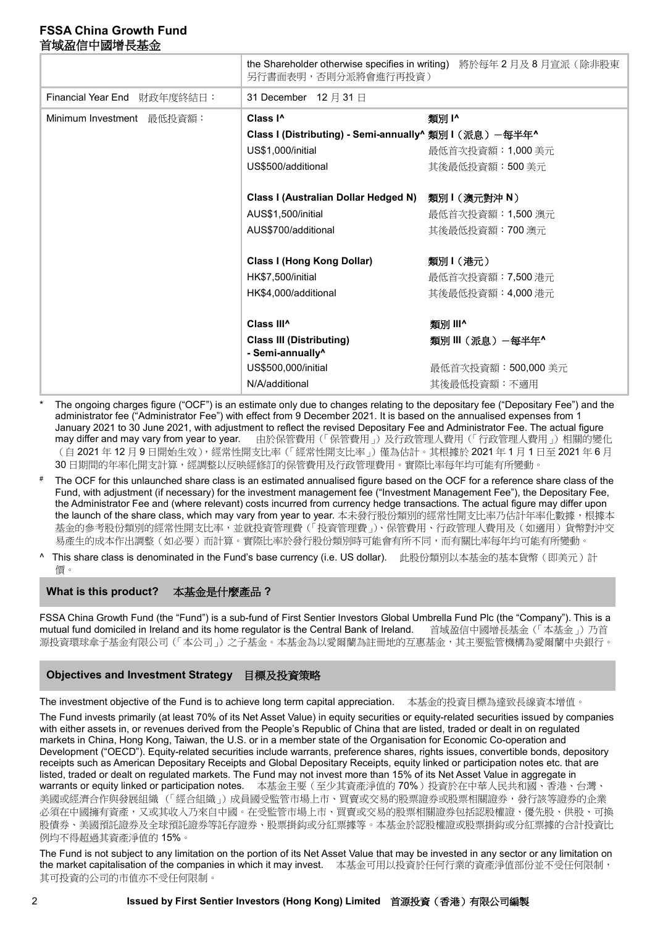|                             | 另行書面表明,否則分派將會進行再投資)                                             | the Shareholder otherwise specifies in writing) 將於每年2月及8月宣派(除非股東 |
|-----------------------------|-----------------------------------------------------------------|------------------------------------------------------------------|
| Financial Year End 財政年度終結日: | 31 December 12 月 31 日                                           |                                                                  |
| Minimum Investment 最低投資額:   | Class I <sup>^</sup>                                            | 類別 !^                                                            |
|                             | Class I (Distributing) - Semi-annually^ 類別 I (派息) 一每半年^         |                                                                  |
|                             | US\$1,000/initial                                               | 最低首次投資額: 1,000 美元                                                |
|                             | US\$500/additional                                              | 其後最低投資額:500 美元                                                   |
|                             | Class I (Australian Dollar Hedged N)                            | 類別1 (澳元對沖 N)                                                     |
|                             | AUS\$1,500/initial                                              | 最低首次投資額: 1,500 澳元                                                |
|                             | AUS\$700/additional                                             | 其後最低投資額: 700 澳元                                                  |
|                             | <b>Class I (Hong Kong Dollar)</b>                               | 類別1(港元)                                                          |
|                             | HK\$7,500/initial                                               | 最低首次投資額: 7,500 港元                                                |
|                             | HK\$4,000/additional                                            | 其後最低投資額: 4,000 港元                                                |
|                             | Class III <sup>^</sup>                                          | 類別 III^                                                          |
|                             | <b>Class III (Distributing)</b><br>- Semi-annually <sup>^</sup> | 類別Ⅲ(派息)−每半年^                                                     |
|                             | US\$500,000/initial                                             | 最低首次投資額: 500,000 美元                                              |
|                             | N/A/additional                                                  | 其後最低投資額:不適用                                                      |

- The ongoing charges figure ("OCF") is an estimate only due to changes relating to the depositary fee ("Depositary Fee") and the administrator fee ("Administrator Fee") with effect from 9 December 2021. It is based on the annualised expenses from 1 January 2021 to 30 June 2021, with adjustment to reflect the revised Depositary Fee and Administrator Fee. The actual figure may differ and may vary from year to year. 由於保管費用(「保管費用」)及行政管理人費用(「行政管理人費用」)相關的變化 (自 2021 年 12 月 9 日開始生效),經常性開支比率(「經常性開支比率」)僅為估計。其根據於 2021 年 1 月 1 日至 2021 年 6 月 30 日期間的年率化開支計算,經調整以反映經修訂的保管費用及行政管理費用。實際比率每年均可能有所變動。
- The OCF for this unlaunched share class is an estimated annualised figure based on the OCF for a reference share class of the Fund, with adjustment (if necessary) for the investment management fee ("Investment Management Fee"), the Depositary Fee, the Administrator Fee and (where relevant) costs incurred from currency hedge transactions. The actual figure may differ upon the launch of the share class, which may vary from year to year. 本未發行股份類別的經常性開支比率乃估計年率化數據,根據本 基金的參考股份類別的經常性開支比率,並就投資管理費(「投資管理費」)、保管費用、行政管理人費用及(如適用)貨幣對沖交 易產生的成本作出調整(如必要)而計算。實際比率於發行股份類別時可能會有所不同,而有關比率每年均可能有所變動。
- ^ This share class is denominated in the Fund's base currency (i.e. US dollar). 此股份類別以本基金的基本貨幣(即美元)計 價。

#### **What is this product?** 本基金是什麼產品 **?**

FSSA China Growth Fund (the "Fund") is a sub-fund of First Sentier Investors Global Umbrella Fund Plc (the "Company"). This is a mutual fund domiciled in Ireland and its home regulator is the Central Bank of Ireland. 首域盈信中國增長基金(「本基金」) 乃首 源投資環球傘子基金有限公司 (「本公司 」 之子基金。本基金為以愛爾蘭為註冊地的互惠基金,其主要監管機構為愛爾蘭中央銀行。

## **Objectives and Investment Strategy** 目標及投資策略

The investment objective of the Fund is to achieve long term capital appreciation. 本基金的投資目標為達致長線資本增值。

The Fund invests primarily (at least 70% of its Net Asset Value) in equity securities or equity-related securities issued by companies with either assets in, or revenues derived from the People's Republic of China that are listed, traded or dealt in on regulated markets in China, Hong Kong, Taiwan, the U.S. or in a member state of the Organisation for Economic Co-operation and Development ("OECD"). Equity-related securities include warrants, preference shares, rights issues, convertible bonds, depository receipts such as American Depositary Receipts and Global Depositary Receipts, equity linked or participation notes etc. that are listed, traded or dealt on regulated markets. The Fund may not invest more than 15% of its Net Asset Value in aggregate in warrants or equity linked or participation notes. 本基金主要(至少其資產淨值的 70%)投資於在中華人民共和國、香港、台灣、 美國或經濟合作與發展組織(「經合組織」)成員國受監管市場上市、買賣或交易的股票證券或股票相關證券,發行該等證券的企業 必須在中國擁有資產,又或其收入乃來自中國。在受監管市場上市、買賣或交易的股票相關證券包括認股權證、優先股、供股、可換 股債券、美國預託證券及全球預託證券等託存證券、股票掛鈎或分紅票據等。本基金於認股權證或股票掛鈎或分紅票據的合計投資比 例均不得超過其資產淨值的 15%。

The Fund is not subject to any limitation on the portion of its Net Asset Value that may be invested in any sector or any limitation on the market capitalisation of the companies in which it may invest. 本基金可用以投資於任何行業的資產淨值部份並不受任何限制, 其可投資的公司的市值亦不受任何限制。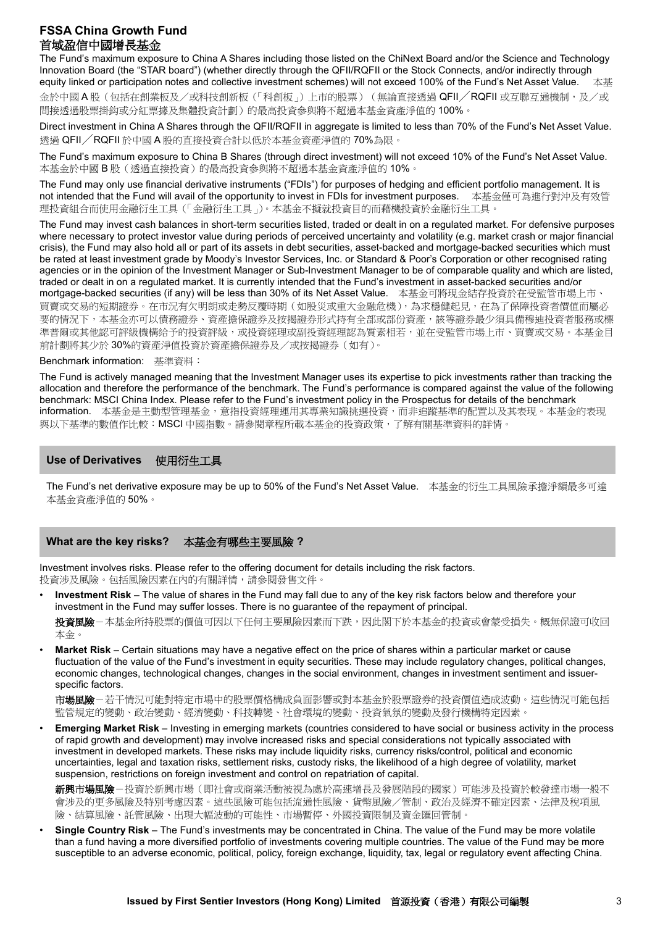The Fund's maximum exposure to China A Shares including those listed on the ChiNext Board and/or the Science and Technology Innovation Board (the "STAR board") (whether directly through the QFII/RQFII or the Stock Connects, and/or indirectly through equity linked or participation notes and collective investment schemes) will not exceed 100% of the Fund's Net Asset Value. 本基 金於中國 A 股 (包括在創業板及/或科技創新板 (「科創板」)上市的股票) (無論直接透過 QFII/RQFII 或互聯互通機制,及/或 間接透過股票掛鈎或分紅票據及集體投資計劃)的最高投資參與將不超過本基金資產淨值的 100%。

Direct investment in China A Shares through the QFII/RQFII in aggregate is limited to less than 70% of the Fund's Net Asset Value. 透過 QFII/RQFII 於中國 A 股的直接投資合計以低於本基金資產淨值的 70%為限。

The Fund's maximum exposure to China B Shares (through direct investment) will not exceed 10% of the Fund's Net Asset Value. 本基金於中國 B 股(透過直接投資)的最高投資參與將不超過本基金資產淨值的 10%。

The Fund may only use financial derivative instruments ("FDIs") for purposes of hedging and efficient portfolio management. It is not intended that the Fund will avail of the opportunity to invest in FDIs for investment purposes. 本基金僅可為進行對沖及有效管 理投資組合而使用金融衍生工具(「金融衍生工具」)。本基金不擬就投資目的而藉機投資於金融衍生工具

The Fund may invest cash balances in short-term securities listed, traded or dealt in on a regulated market. For defensive purposes where necessary to protect investor value during periods of perceived uncertainty and volatility (e.g. market crash or major financial crisis), the Fund may also hold all or part of its assets in debt securities, asset-backed and mortgage-backed securities which must be rated at least investment grade by Moody's Investor Services, Inc. or Standard & Poor's Corporation or other recognised rating agencies or in the opinion of the Investment Manager or Sub-Investment Manager to be of comparable quality and which are listed, traded or dealt in on a regulated market. It is currently intended that the Fund's investment in asset-backed securities and/or mortgage-backed securities (if any) will be less than 30% of its Net Asset Value. 本基金可將現金結存投資於在受監管市場上市、 買賣或交易的短期證券。在市況有欠明朗或走勢反覆時期(如股災或重大金融危機),為求穩健起見,在為了保障投資者價值而屬必 要的情況下,本基金亦可以債務證券、資產擔保證券及按揭證券形式持有全部或部份資產,該等證券最少須具備穆迪投資者服務或標 準普爾或其他認可評級機構給予的投資評級,或投資經理或副投資經理認為質素相若,並在受監管市場上市、買賣或交易。本基金目 前計劃將其少於 30%的資產淨值投資於資產擔保證券及/或按揭證券(如有)。

Benchmark information: 基準資料:

The Fund is actively managed meaning that the Investment Manager uses its expertise to pick investments rather than tracking the allocation and therefore the performance of the benchmark. The Fund's performance is compared against the value of the following benchmark: MSCI China Index. Please refer to the Fund's investment policy in the Prospectus for details of the benchmark information. 本基金是主動型管理基金,意指投資經理運用其專業知識挑選投資,而非追蹤基準的配置以及其表現。本基金的表現 與以下基準的數值作比較:MSCI 中國指數。請參閱章程所載本基金的投資政策,了解有關基準資料的詳情。

### **Use of Derivatives** 使用衍生工具

The Fund's net derivative exposure may be up to 50% of the Fund's Net Asset Value. 本基金的衍生工具風險承擔淨額最多可達 本基金資產淨值的 50%。

**What are the key risks?** 本基金有哪些主要風險 **?**

Investment involves risks. Please refer to the offering document for details including the risk factors. 投資涉及風險。包括風險因素在內的有關詳情,請參閱發售文件

• **Investment Risk** – The value of shares in the Fund may fall due to any of the key risk factors below and therefore your investment in the Fund may suffer losses. There is no guarantee of the repayment of principal.

投資風險-本基金所持股票的價值可因以下任何主要風險因素而下跌,因此閣下於本基金的投資或會蒙受損失。概無保證可收回 本金。

• **Market Risk** – Certain situations may have a negative effect on the price of shares within a particular market or cause fluctuation of the value of the Fund's investment in equity securities. These may include regulatory changes, political changes, economic changes, technological changes, changes in the social environment, changes in investment sentiment and issuerspecific factors.

市場風險-若干情況可能對特定市場中的股票價格構成負面影響或對本基金於股票證券的投資價值造成波動。這些情況可能包括 監管規定的變動、政治變動、經濟變動、科技轉變、社會環境的變動、投資氣氛的變動及發行機構特定因素。

• **Emerging Market Risk** – Investing in emerging markets (countries considered to have social or business activity in the process of rapid growth and development) may involve increased risks and special considerations not typically associated with investment in developed markets. These risks may include liquidity risks, currency risks/control, political and economic uncertainties, legal and taxation risks, settlement risks, custody risks, the likelihood of a high degree of volatility, market suspension, restrictions on foreign investment and control on repatriation of capital.

**新興市場風險**-投資於新興市場(即社會或商業活動被視為處於高速增長及發展階段的國家)可能涉及投資於較發達市場一般不 會涉及的更多風險及特別考慮因素。這些風險可能包括流通性風險、貨幣風險/管制、政治及經濟不確定因素、法律及稅項風 險、結算風險、託管風險、出現大幅波動的可能性、市場暫停、外國投資限制及資金匯回管制。

• **Single Country Risk** – The Fund's investments may be concentrated in China. The value of the Fund may be more volatile than a fund having a more diversified portfolio of investments covering multiple countries. The value of the Fund may be more susceptible to an adverse economic, political, policy, foreign exchange, liquidity, tax, legal or regulatory event affecting China.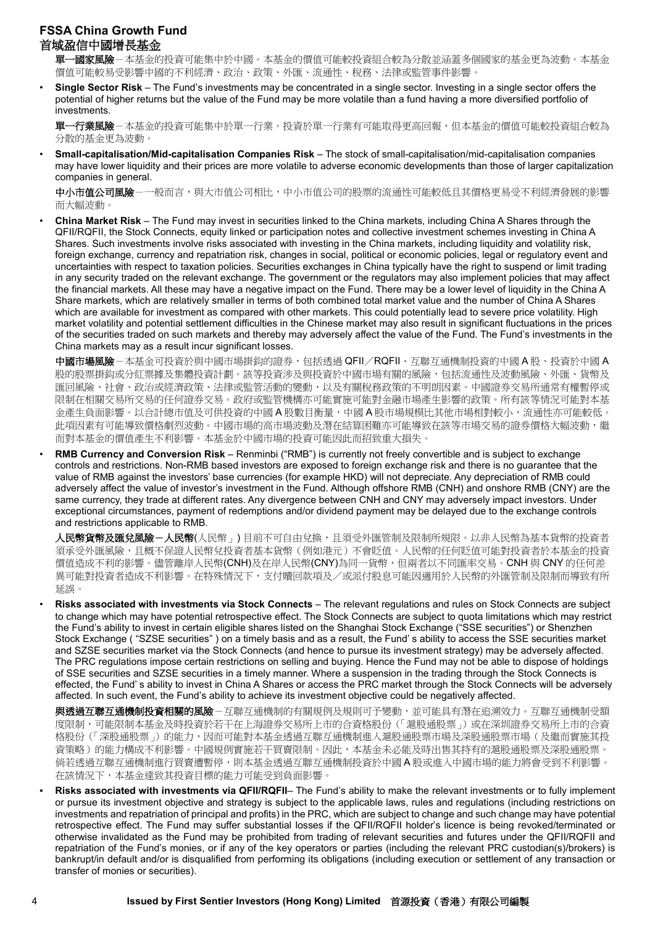**-國家風險**-本基金的投資可能集中於中國。本基金的價值可能較投資組合較為分散並涵蓋多個國家的基金更為波動。本基金 價值可能較易受影響中國的不利經濟、政治、政策、外匯、流通性、稅務、法律或監管事件影響。

• **Single Sector Risk** – The Fund's investments may be concentrated in a single sector. Investing in a single sector offers the potential of higher returns but the value of the Fund may be more volatile than a fund having a more diversified portfolio of investments.

軍一行業風險-本基金的投資可能集中於單一行業。投資於單一行業有可能取得更高回報,但本基金的價值可能較投資組合較為 分散的基金更為波動。

• **Small-capitalisation/Mid-capitalisation Companies Risk** – The stock of small-capitalisation/mid-capitalisation companies may have lower liquidity and their prices are more volatile to adverse economic developments than those of larger capitalization companies in general.

中小市值公司風險-一般而言,與大市值公司相比,中小市值公司的股票的流通性可能較低且其價格更易受不利經濟發展的影響 而大幅波動。

• **China Market Risk** – The Fund may invest in securities linked to the China markets, including China A Shares through the QFII/RQFII, the Stock Connects, equity linked or participation notes and collective investment schemes investing in China A Shares. Such investments involve risks associated with investing in the China markets, including liquidity and volatility risk, foreign exchange, currency and repatriation risk, changes in social, political or economic policies, legal or regulatory event and uncertainties with respect to taxation policies. Securities exchanges in China typically have the right to suspend or limit trading in any security traded on the relevant exchange. The government or the regulators may also implement policies that may affect the financial markets. All these may have a negative impact on the Fund. There may be a lower level of liquidity in the China A Share markets, which are relatively smaller in terms of both combined total market value and the number of China A Shares which are available for investment as compared with other markets. This could potentially lead to severe price volatility. High market volatility and potential settlement difficulties in the Chinese market may also result in significant fluctuations in the prices of the securities traded on such markets and thereby may adversely affect the value of the Fund. The Fund's investments in the China markets may as a result incur significant losses.

中國市場風險-本基金可投資於與中國市場掛鈎的證券,包括透過 QFII/RQFII、互聯互通機制投資的中國 A 股、投資於中國 A 股的股票掛鈎或分紅票據及集體投資計劃。該等投資涉及與投資於中國市場有關的風險,包括流通性及波動風險、外匯、貨幣及 匯回風險、社會、政治或經濟政策、法律或監管活動的變動,以及有關稅務政策的不明朗因素。中國證券交易所通常有權暫停或 限制在相關交易所交易的任何證券交易。政府或監管機構亦可能實施可能對金融市場產生影響的政策。所有該等情況可能對本基 金產生負面影響。以合計總市值及可供投資的中國 A 股數目衡量,中國 A 股市場規模比其他市場相對較小,流通性亦可能較低。 此項因素有可能導致價格劇烈波動。中國市場的高市場波動及潛在結算困難亦可能導致在該等市場交易的證券價格大幅波動,繼 而對本基金的價值產生不利影響。本基金於中國市場的投資可能因此而招致重大損失。

• **RMB Currency and Conversion Risk** – Renminbi ("RMB") is currently not freely convertible and is subject to exchange controls and restrictions. Non-RMB based investors are exposed to foreign exchange risk and there is no guarantee that the value of RMB against the investors' base currencies (for example HKD) will not depreciate. Any depreciation of RMB could adversely affect the value of investor's investment in the Fund. Although offshore RMB (CNH) and onshore RMB (CNY) are the same currency, they trade at different rates. Any divergence between CNH and CNY may adversely impact investors. Under exceptional circumstances, payment of redemptions and/or dividend payment may be delayed due to the exchange controls and restrictions applicable to RMB.

人民幣貨幣及匯兌風險-人民幣(人民幣」) 目前不可自由兌換,且須受外匯管制及限制所規限。以非人民幣為基本貨幣的投資者 須承受外匯風險,且概不保證人民幣兌投資者基本貨幣(例如港元)不會貶值。人民幣的任何貶值可能對投資者於本基金的投資 價值造成不利的影響。儘管離岸人民幣(CNH)及在岸人民幣(CNY)為同一貨幣,但兩者以不同匯率交易。CNH 與 CNY 的任何差 異可能對投資者造成不利影響。在特殊情況下,支付贖回款項及/或派付股息可能因適用於人民幣的外匯管制及限制而導致有所 延誤。

- **Risks associated with investments via Stock Connects** The relevant regulations and rules on Stock Connects are subject to change which may have potential retrospective effect. The Stock Connects are subject to quota limitations which may restrict the Fund's ability to invest in certain eligible shares listed on the Shanghai Stock Exchange ("SSE securities") or Shenzhen Stock Exchange ( "SZSE securities" ) on a timely basis and as a result, the Fund' s ability to access the SSE securities market and SZSE securities market via the Stock Connects (and hence to pursue its investment strategy) may be adversely affected. The PRC regulations impose certain restrictions on selling and buying. Hence the Fund may not be able to dispose of holdings of SSE securities and SZSE securities in a timely manner. Where a suspension in the trading through the Stock Connects is effected, the Fund' s ability to invest in China A Shares or access the PRC market through the Stock Connects will be adversely affected. In such event, the Fund's ability to achieve its investment objective could be negatively affected.
- 與透過互聯互通機制投資相關的風險-互聯互通機制的有關規例及規則可予變動,並可能具有潛在追溯效力。互聯互通機制受額 度限制,可能限制本基金及時投資於若干在上海證券交易所上市的合資格股份(「滬股通股票」)或在深圳證券交易所上市的合資 格股份(「深股通股票」)的能力,因而可能對本基金透過互聯互通機制進入滬股通股票市場及深股通股票市場(及繼而實施其投 資策略)的能力構成不利影響。中國規例實施若干買賣限制。因此,本基金未必能及時出售其持有的滬股通股票及深股通股票。 倘若透過互聯互通機制進行買賣遭暫停,則本基金透過互聯互通機制投資於中國 A 股或進入中國市場的能力將會受到不利影響。 在該情況下,本基金達致其投資目標的能力可能受到負面影響。
- **• Risks associated with investments via QFII/RQFII** The Fund's ability to make the relevant investments or to fully implement or pursue its investment objective and strategy is subject to the applicable laws, rules and regulations (including restrictions on investments and repatriation of principal and profits) in the PRC, which are subject to change and such change may have potential retrospective effect. The Fund may suffer substantial losses if the QFII/RQFII holder's licence is being revoked/terminated or otherwise invalidated as the Fund may be prohibited from trading of relevant securities and futures under the QFII/RQFII and repatriation of the Fund's monies, or if any of the key operators or parties (including the relevant PRC custodian(s)/brokers) is bankrupt/in default and/or is disqualified from performing its obligations (including execution or settlement of any transaction or transfer of monies or securities).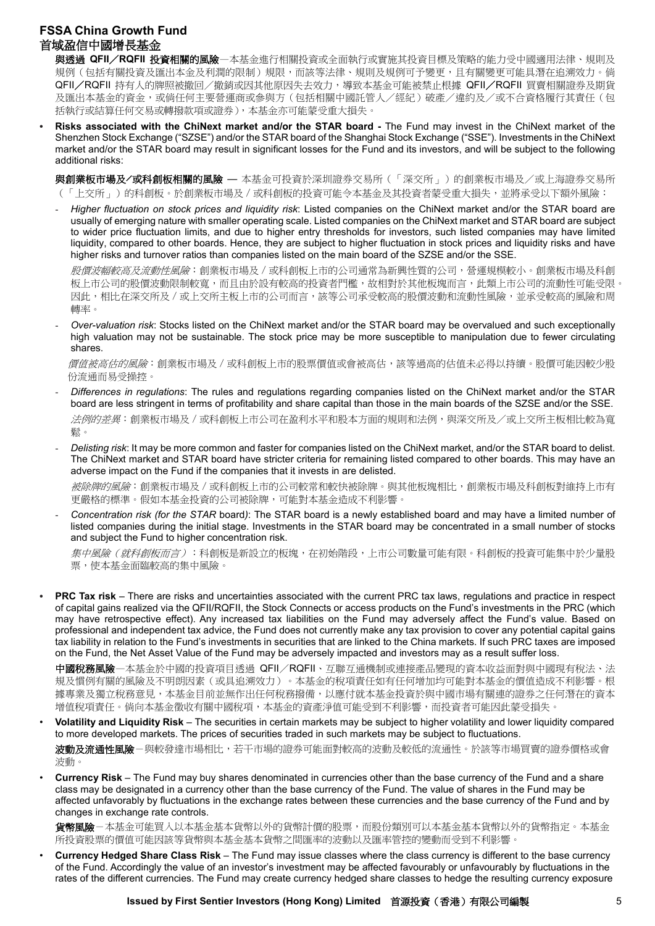與透過 **QFII**/**RQFII** 投資相關的風險—本基金進行相關投資或全面執行或實施其投資目標及策略的能力受中國適用法律、規則及 規例(包括有關投資及匯出本金及利潤的限制)規限,而該等法律、規則及規例可予變更,且有關變更可能具潛在追溯效力。倘 QFII/RQFII 持有人的牌照被撤回/撤銷或因其他原因失去效力,導致本基金可能被禁止根據 QFII/RQFII 買賣相關證券及期貨 及匯出本基金的資金,或倘任何主要營運商或參與方(包括相關中國託管人/經紀)破產/違約及/或不合資格履行其責任(包 括執行或結算任何交易或轉撥款項或證券),本基金亦可能蒙受重大損失。

**• Risks associated with the ChiNext market and/or the STAR board -** The Fund may invest in the ChiNext market of the Shenzhen Stock Exchange ("SZSE") and/or the STAR board of the Shanghai Stock Exchange ("SSE"). Investments in the ChiNext market and/or the STAR board may result in significant losses for the Fund and its investors, and will be subject to the following additional risks:

與創業板市場及**╱**或科創板相關的風險 — 本基金可投資於深圳證券交易所(「深交所」)的創業板市場及/或上海證券交易所 (「上交所」)的科創板。於創業板市場及/或科創板的投資可能令本基金及其投資者蒙受重大損失,並將承受以下額外風險:

- *Higher fluctuation on stock prices and liquidity risk*: Listed companies on the ChiNext market and/or the STAR board are usually of emerging nature with smaller operating scale. Listed companies on the ChiNext market and STAR board are subject to wider price fluctuation limits, and due to higher entry thresholds for investors, such listed companies may have limited liquidity, compared to other boards. Hence, they are subject to higher fluctuation in stock prices and liquidity risks and have higher risks and turnover ratios than companies listed on the main board of the SZSE and/or the SSE.

股價波幅較高及流動性風險:創業板市場及 / 或科創板上市的公司通常為新興性質的公司, 營運規模較小。創業板市場及科創 板上市公司的股價波動限制較寬,而且由於設有較高的投資者門檻,故相對於其他板塊而言,此類上市公司的流動性可能受限 因此,相比在深交所及 / 或上交所主板上市的公司而言,該等公司承受較高的股價波動和流動性風險,並承受較高的風險和周 轉率。

- *Over-valuation risk*: Stocks listed on the ChiNext market and/or the STAR board may be overvalued and such exceptionally high valuation may not be sustainable. The stock price may be more susceptible to manipulation due to fewer circulating shares.

*價值被高估的風險*:創業板市場及 / 或科創板上市的股票價值或會被高估,該等過高的估值未必得以持續。股價可能因較少股 份流通而易受操控。

- *Differences in regulations*: The rules and regulations regarding companies listed on the ChiNext market and/or the STAR board are less stringent in terms of profitability and share capital than those in the main boards of the SZSE and/or the SSE. 法例的差異:創業板市場及/或科創板上市公司在盈利水平和股本方面的規則和法例,與深交所及/或上交所主板相比較為寬 鬆。
- *Delisting risk*: It may be more common and faster for companies listed on the ChiNext market, and/or the STAR board to delist. The ChiNext market and STAR board have stricter criteria for remaining listed compared to other boards. This may have an adverse impact on the Fund if the companies that it invests in are delisted.

被除牌的風險:創業板市場及 / 或科創板上市的公司較常和較快被除牌。與其他板塊相比,創業板市場及科創板對維持上市有 更嚴格的標準。假如本基金投資的公司被除牌,可能對本基金造成不利影響。

- *Concentration risk (for the STAR* board*)*: The STAR board is a newly established board and may have a limited number of listed companies during the initial stage. Investments in the STAR board may be concentrated in a small number of stocks and subject the Fund to higher concentration risk.

*集中風險(就科創板而言)*:科創板是新設立的板塊,在初始階段,上市公司數量可能有限。科創板的投資可能集中於少量股 票,使本基金面臨較高的集中風險。

**• PRC Tax risk** – There are risks and uncertainties associated with the current PRC tax laws, regulations and practice in respect of capital gains realized via the QFII/RQFII, the Stock Connects or access products on the Fund's investments in the PRC (which may have retrospective effect). Any increased tax liabilities on the Fund may adversely affect the Fund's value. Based on professional and independent tax advice, the Fund does not currently make any tax provision to cover any potential capital gains tax liability in relation to the Fund's investments in securities that are linked to the China markets. If such PRC taxes are imposed on the Fund, the Net Asset Value of the Fund may be adversely impacted and investors may as a result suffer loss.

中國稅務風險一本基金於中國的投資項目透過 QFII/RQFII、互聯互通機制或連接產品變現的資本收益面對與中國現有稅法、法 規及慣例有關的風險及不明朗因素(或具追溯效力)。本基金的稅項責任如有任何增加均可能對本基金的價值造成不利影響。根 據專業及獨立稅務意見,本基金目前並無作出任何稅務撥備,以應付就本基金投資於與中國市場有關連的證券之任何潛在的資本 增值稅項責任。倘向本基金徵收有關中國稅項,本基金的資產淨值可能受到不利影響,而投資者可能因此蒙受損失。

• **Volatility and Liquidity Risk** – The securities in certain markets may be subject to higher volatility and lower liquidity compared to more developed markets. The prices of securities traded in such markets may be subject to fluctuations.

**波動及流通性風險**-與較發達市場相比,若干市場的證券可能面對較高的波動及較低的流通性。於該等市場買賣的證券價格或會 波動。

• **Currency Risk** – The Fund may buy shares denominated in currencies other than the base currency of the Fund and a share class may be designated in a currency other than the base currency of the Fund. The value of shares in the Fund may be affected unfavorably by fluctuations in the exchange rates between these currencies and the base currency of the Fund and by changes in exchange rate controls.

**貨幣風險**-本基金可能買入以本基金基本貨幣以外的貨幣計價的股票,而股份類別可以本基金基本貨幣以外的貨幣指定。本基金 所投資股票的價值可能因該等貨幣與本基金基本貨幣之間匯率的波動以及匯率管控的變動而受到不利影響。

• **Currency Hedged Share Class Risk** – The Fund may issue classes where the class currency is different to the base currency of the Fund. Accordingly the value of an investor's investment may be affected favourably or unfavourably by fluctuations in the rates of the different currencies. The Fund may create currency hedged share classes to hedge the resulting currency exposure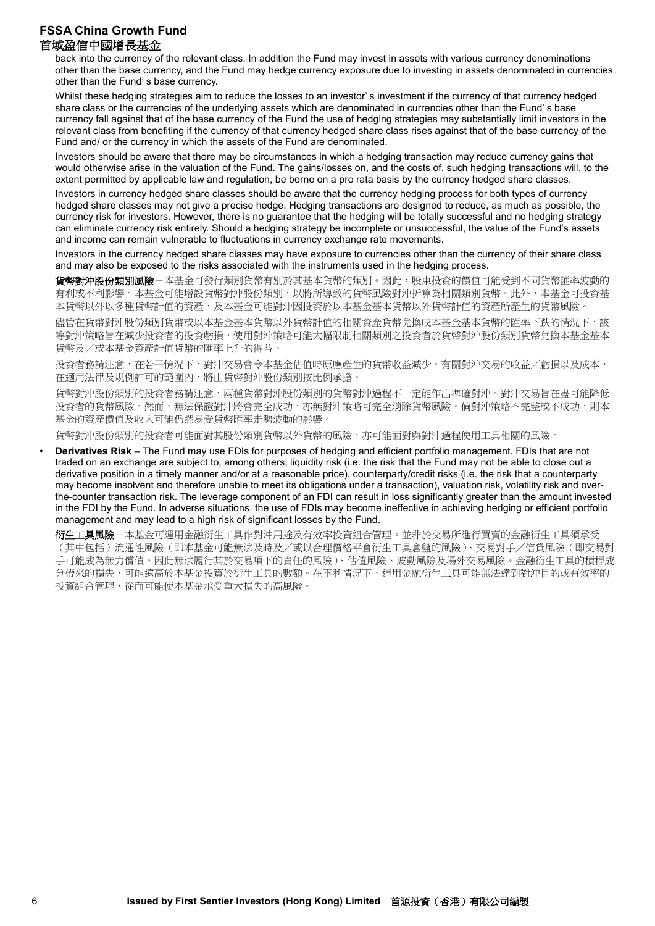back into the currency of the relevant class. In addition the Fund may invest in assets with various currency denominations other than the base currency, and the Fund may hedge currency exposure due to investing in assets denominated in currencies other than the Fund' s base currency.

Whilst these hedging strategies aim to reduce the losses to an investor' s investment if the currency of that currency hedged share class or the currencies of the underlying assets which are denominated in currencies other than the Fund' s base currency fall against that of the base currency of the Fund the use of hedging strategies may substantially limit investors in the relevant class from benefiting if the currency of that currency hedged share class rises against that of the base currency of the Fund and/ or the currency in which the assets of the Fund are denominated.

Investors should be aware that there may be circumstances in which a hedging transaction may reduce currency gains that would otherwise arise in the valuation of the Fund. The gains/losses on, and the costs of, such hedging transactions will, to the extent permitted by applicable law and regulation, be borne on a pro rata basis by the currency hedged share classes.

Investors in currency hedged share classes should be aware that the currency hedging process for both types of currency hedged share classes may not give a precise hedge. Hedging transactions are designed to reduce, as much as possible, the currency risk for investors. However, there is no guarantee that the hedging will be totally successful and no hedging strategy can eliminate currency risk entirely. Should a hedging strategy be incomplete or unsuccessful, the value of the Fund's assets and income can remain vulnerable to fluctuations in currency exchange rate movements.

Investors in the currency hedged share classes may have exposure to currencies other than the currency of their share class and may also be exposed to the risks associated with the instruments used in the hedging process.

貨幣對沖股份類別風險-本基金可發行類別貨幣有別於其基本貨幣的類別。因此,股東投資的價值可能受到不同貨幣匯率波動的 有利或不利影響。本基金可能增設貨幣對沖股份類別,以將所導致的貨幣風險對沖折算為相關類別貨幣。此外,本基金可投資基 本貨幣以外以多種貨幣計值的資產,及本基金可能對沖因投資於以本基金基本貨幣以外貨幣計值的資產所產生的貨幣風險。

儘管在貨幣對沖股份類別貨幣或以本基金基本貨幣以外貨幣計值的相關資產貨幣兌換成本基金基本貨幣的匯率下跌的情況下,該 等對沖策略旨在減少投資者的投資虧損,使用對沖策略可能大幅限制相關類別之投資者於貨幣對沖股份類別貨幣兌換本基金基本 貨幣及/或本基金資產計值貨幣的匯率上升的得益。

投資者務請注意,在若干情況下,對沖交易會令本基金估值時原應產生的貨幣收益減少。有關對沖交易的收益/虧損以及成本, 在適用法律及規例許可的範圍內,將由貨幣對沖股份類別按比例承擔。

貨幣對沖股份類別的投資者務請注意,兩種貨幣對沖股份類別的貨幣對沖過程不一定能作出準確對沖。對沖交易旨在盡可能降低 投資者的貨幣風險。然而,無法保證對沖將會完全成功,亦無對沖策略可完全消除貨幣風險。倘對沖策略不完整或不成功,則本 基金的資產價值及收入可能仍然易受貨幣匯率走勢波動的影響。

貨幣對沖股份類別的投資者可能面對其股份類別貨幣以外貨幣的風險,亦可能面對與對沖過程使用工具相關的風險。

• **Derivatives Risk** – The Fund may use FDIs for purposes of hedging and efficient portfolio management. FDIs that are not traded on an exchange are subject to, among others, liquidity risk (i.e. the risk that the Fund may not be able to close out a derivative position in a timely manner and/or at a reasonable price), counterparty/credit risks (i.e. the risk that a counterparty may become insolvent and therefore unable to meet its obligations under a transaction), valuation risk, volatility risk and overthe-counter transaction risk. The leverage component of an FDI can result in loss significantly greater than the amount invested in the FDI by the Fund. In adverse situations, the use of FDIs may become ineffective in achieving hedging or efficient portfolio management and may lead to a high risk of significant losses by the Fund.

衍生工具風險-本基金可運用金融衍生工具作對沖用途及有效率投資組合管理。並非於交易所進行買賣的金融衍生工具須承受 (其中包括)流通性風險(即本基金可能無法及時及/或以合理價格平倉衍生工具倉盤的風險)、交易對手/信貸風險(即交易對 手可能成為無力償債,因此無法履行其於交易項下的責任的風險)、估值風險、波動風險及場外交易風險。金融衍生工具的槓桿成 分帶來的損失,可能遠高於本基金投資於衍生工具的數額。在不利情況下,運用金融衍生工具可能無法達到對沖目的或有效率的 投資組合管理,從而可能使本基金承受重大損失的高風險。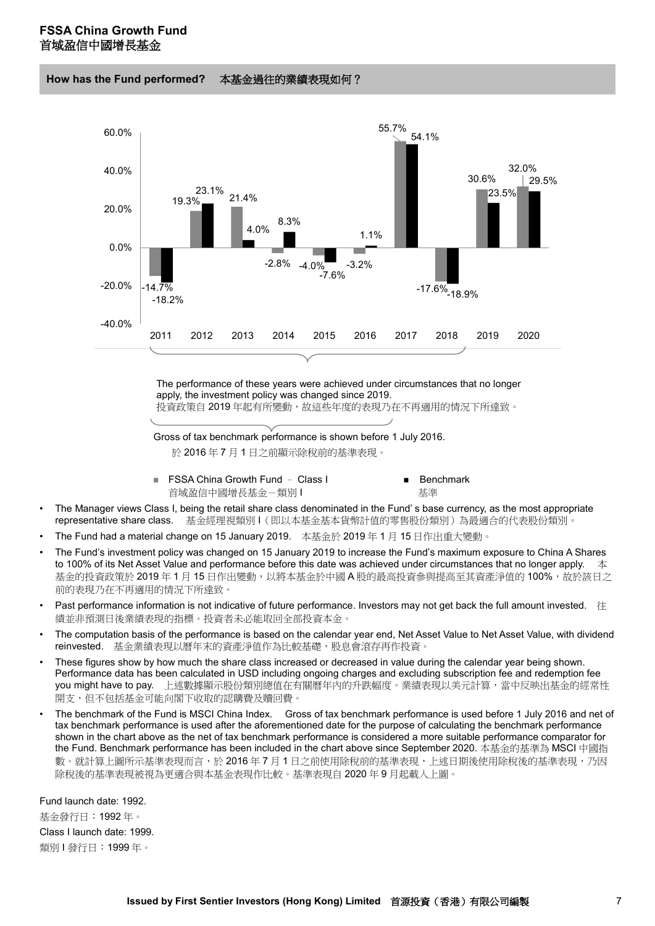**How has the Fund performed?** 本基金過往的業績表現如何?



The performance of these years were achieved under circumstances that no longer apply, the investment policy was changed since 2019.

投資政策自 2019年起有所變動,故這些年度的表現乃在不再適用的情況下所達致。

Gross of tax benchmark performance is shown before 1 July 2016.

於 2016 年 7 月 1 日之前顯示除稅前的基準表現。

- FSSA China Growth Fund Class I Benchmark 首域盈信中國增長基金-類別 I Market Market - 基準
- The Manager views Class I, being the retail share class denominated in the Fund' s base currency, as the most appropriate representative share class. 基金經理視類別 I(即以本基金基本貨幣計值的零售股份類別)為最適合的代表股份類別。
- The Fund had a material change on 15 January 2019. 本基金於 2019 年 1 月 15 日作出重大變動。
- The Fund's investment policy was changed on 15 January 2019 to increase the Fund's maximum exposure to China A Shares to 100% of its Net Asset Value and performance before this date was achieved under circumstances that no longer apply.  $\bar{\text{A}}$ 基金的投資政策於 2019 年 1 月 15 日作出變動,以將本基金於中國 A 股的最高投資參與提高至其資產淨值的 100%,故於該日之 前的表現乃在不再適用的情況下所達致。
- Past performance information is not indicative of future performance. Investors may not get back the full amount invested. 往 績並非預測日後業績表現的指標。投資者未必能取回全部投資本金。
- The computation basis of the performance is based on the calendar year end, Net Asset Value to Net Asset Value, with dividend reinvested. 基金業績表現以曆年末的資產淨值作為比較基礎,股息會滾存再作投資。
- These figures show by how much the share class increased or decreased in value during the calendar year being shown. Performance data has been calculated in USD including ongoing charges and excluding subscription fee and redemption fee you might have to pay. 上述數據顯示股份類別總值在有關曆年內的升跌幅度。業績表現以美元計算,當中反映出基金的經常性 開支,但不包括基金可能向閣下收取的認購費及贖回費。
- The benchmark of the Fund is MSCI China Index. Gross of tax benchmark performance is used before 1 July 2016 and net of tax benchmark performance is used after the aforementioned date for the purpose of calculating the benchmark performance shown in the chart above as the net of tax benchmark performance is considered a more suitable performance comparator for the Fund. Benchmark performance has been included in the chart above since September 2020. 本基金的基準為 MSCI 中國指 數。就計算上圖所示基準表現而言,於 2016 年 7 月 1 日之前使用除稅前的基準表現,上述日期後使用除稅後的基準表現,乃因 除稅後的基準表現被視為更適合與本基金表現作比較。基準表現自 2020 年 9 月起載入上圖。

Fund launch date: 1992. 基金發行日:1992 年。 Class I launch date: 1999.

類別1發行日: 1999年。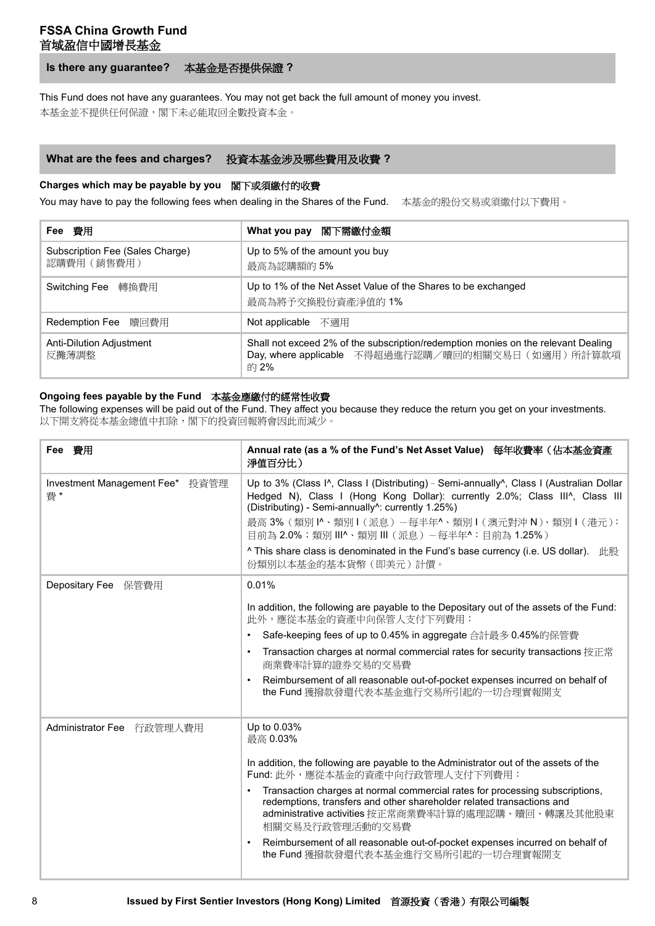**Is there any guarantee?** 本基金是否提供保證 **?**

This Fund does not have any guarantees. You may not get back the full amount of money you invest.

本基金並不提供任何保證,閣下未必能取回全數投資本金。

#### **What are the fees and charges?** 投資本基金涉及哪些費用及收費 **?**

#### **Charges which may be payable by you** 閣下或須繳付的收費

You may have to pay the following fees when dealing in the Shares of the Fund. 本基金的股份交易或須繳付以下費用。

| Fee 費用                                         | What you pay 閣下需繳付金額                                                                                                                           |  |
|------------------------------------------------|------------------------------------------------------------------------------------------------------------------------------------------------|--|
| Subscription Fee (Sales Charge)<br>認購費用 (銷售費用) | Up to 5% of the amount you buy<br>最高為認購額的5%                                                                                                    |  |
| Switching Fee 轉換費用                             | Up to 1% of the Net Asset Value of the Shares to be exchanged<br>最高為將予交換股份資產淨值的 1%                                                             |  |
| Redemption Fee 贖回費用                            | Not applicable 不適用                                                                                                                             |  |
| Anti-Dilution Adjustment<br>反攤薄調整              | Shall not exceed 2% of the subscription/redemption monies on the relevant Dealing<br>Day, where applicable 不得超過進行認購/贖回的相關交易日(如適用)所計算款項<br>的 2% |  |

#### **Ongoing fees payable by the Fund** 本基金應繳付的經常性收費

The following expenses will be paid out of the Fund. They affect you because they reduce the return you get on your investments. 以下開支將從本基金總值中扣除,閣下的投資回報將會因此而減少。

| Fee 費用                                | Annual rate (as a % of the Fund's Net Asset Value) 每年收費率 (佔本基金資產<br>淨值百分比)                                                                                                                                                                                                                                                                                                                                                                                                                                                             |
|---------------------------------------|----------------------------------------------------------------------------------------------------------------------------------------------------------------------------------------------------------------------------------------------------------------------------------------------------------------------------------------------------------------------------------------------------------------------------------------------------------------------------------------------------------------------------------------|
| Investment Management Fee* 投資管理<br>費* | Up to 3% (Class I^, Class I (Distributing) - Semi-annually^, Class I (Australian Dollar<br>Hedged N), Class I (Hong Kong Dollar): currently 2.0%; Class III^, Class III<br>(Distributing) - Semi-annually <sup>1</sup> : currently 1.25%)<br>最高 3%(類別 1^、類別 1 (派息)-每半年^、類別 1 (澳元對沖 N)、類別 1 (港元):<br>目前為 2.0%;類別 III^、類別 III (派息) –每半年^: 目前為 1.25%)<br>$\land$ This share class is denominated in the Fund's base currency (i.e. US dollar). $\#$<br>份類別以本基金的基本貨幣 (即美元)計價。                                                              |
| Depositary Fee 保管費用                   | 0.01%                                                                                                                                                                                                                                                                                                                                                                                                                                                                                                                                  |
|                                       | In addition, the following are payable to the Depositary out of the assets of the Fund:<br>此外,應從本基金的資產中向保管人支付下列費用:<br>Safe-keeping fees of up to 0.45% in aggregate 合計最多 0.45%的保管費<br>٠<br>Transaction charges at normal commercial rates for security transactions 按正常<br>٠<br>商業費率計算的證券交易的交易費<br>Reimbursement of all reasonable out-of-pocket expenses incurred on behalf of<br>$\bullet$<br>the Fund 獲撥款發還代表本基金進行交易所引起的一切合理實報開支                                                                                                    |
| Administrator Fee 行政管理人費用             | Up to 0.03%<br>最高 0.03%<br>In addition, the following are payable to the Administrator out of the assets of the<br>Fund: 此外,應從本基金的資產中向行政管理人支付下列費用:<br>Transaction charges at normal commercial rates for processing subscriptions,<br>$\bullet$<br>redemptions, transfers and other shareholder related transactions and<br>administrative activities 按正常商業費率計算的處理認購、贖回、轉讓及其他股東<br>相關交易及行政管理活動的交易費<br>Reimbursement of all reasonable out-of-pocket expenses incurred on behalf of<br>$\bullet$<br>the Fund 獲撥款發還代表本基金進行交易所引起的一切合理實報開支 |